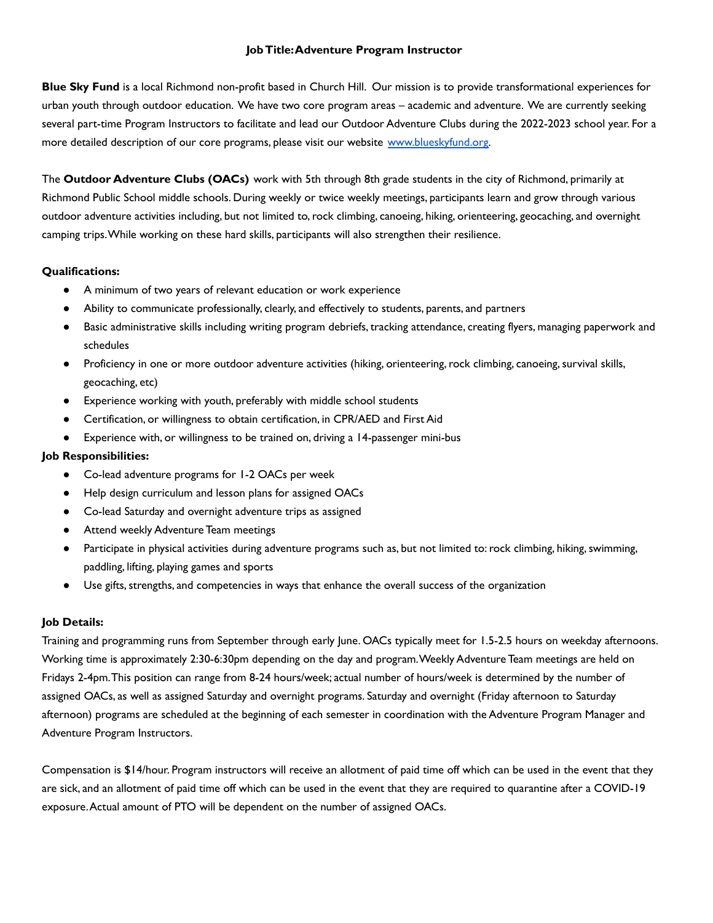#### **JobTitle:Adventure Program Instructor**

**Blue Sky Fund** is a local Richmond non-profit based in Church Hill. Our mission is to provide transformational experiences for urban youth through outdoor education. We have two core program areas – academic and adventure. We are currently seeking several part-time Program Instructors to facilitate and lead our Outdoor Adventure Clubs during the 2022-2023 school year. For a more detailed description of our core programs, please visit our website [www.blueskyfund.org.](http://www.blueskyfund.org)

The **Outdoor Adventure Clubs (OACs)** work with 5th through 8th grade students in the city of Richmond, primarily at Richmond Public School middle schools. During weekly or twice weekly meetings, participants learn and grow through various outdoor adventure activities including, but not limited to,rock climbing, canoeing, hiking, orienteering, geocaching, and overnight camping trips.While working on these hard skills, participants will also strengthen their resilience.

### **Qualifications:**

- A minimum of two years of relevant education or work experience
- Ability to communicate professionally, clearly, and effectively to students, parents, and partners
- Basic administrative skills including writing program debriefs, tracking attendance, creating flyers, managing paperwork and schedules
- Proficiency in one or more outdoor adventure activities (hiking, orienteering, rock climbing, canoeing, survival skills, geocaching, etc)
- Experience working with youth, preferably with middle school students
- Certification, or willingness to obtain certification, in CPR/AED and First Aid
- Experience with, or willingness to be trained on, driving a 14-passenger mini-bus

### **Job Responsibilities:**

- Co-lead adventure programs for 1-2 OACs per week
- Help design curriculum and lesson plans for assigned OACs
- Co-lead Saturday and overnight adventure trips as assigned
- Attend weekly Adventure Team meetings
- Participate in physical activities during adventure programs such as, but not limited to:rock climbing, hiking,swimming, paddling, lifting, playing games and sports
- Use gifts, strengths, and competencies in ways that enhance the overall success of the organization

## **Job Details:**

Training and programming runs from September through early June. OACs typically meet for 1.5-2.5 hours on weekday afternoons. Working time is approximately 2:30-6:30pm depending on the day and program.Weekly Adventure Team meetings are held on Fridays 2-4pm.This position can range from 8-24 hours/week; actual number of hours/week is determined by the number of assigned OACs, as well as assigned Saturday and overnight programs. Saturday and overnight (Friday afternoon to Saturday afternoon) programs are scheduled at the beginning of each semester in coordination with the Adventure Program Manager and Adventure Program Instructors.

Compensation is \$14/hour. Program instructors will receive an allotment of paid time off which can be used in the event that they are sick, and an allotment of paid time off which can be used in the event that they are required to quarantine after a COVID-19 exposure.Actual amount of PTO will be dependent on the number of assigned OACs.